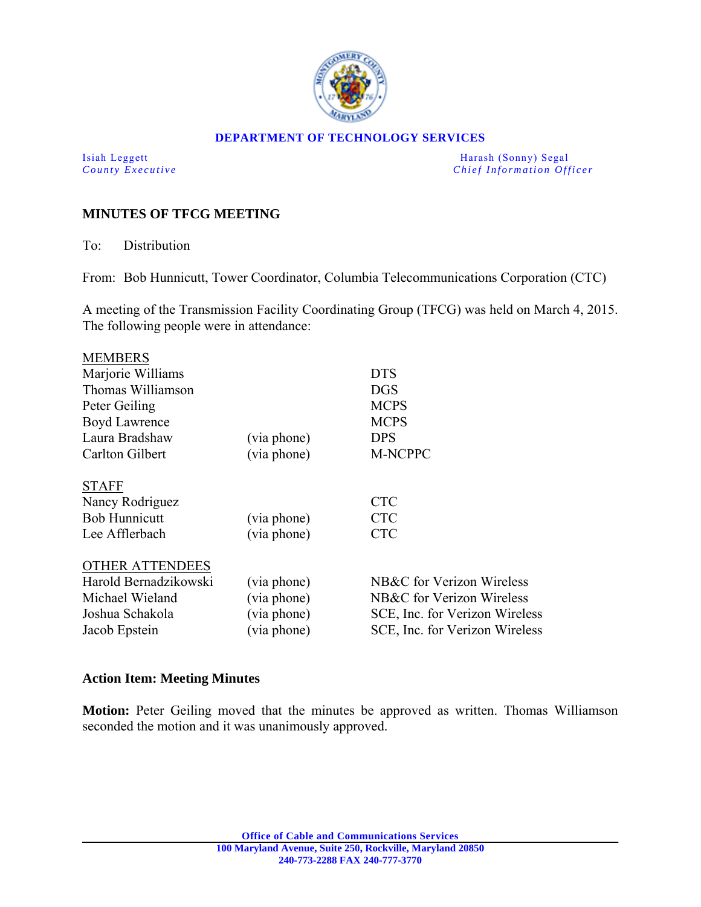

#### **DEPARTMENT OF TECHNOLOGY SERVICES**

Isiah Leggett Harash (Sonny) Segal *County Executive* **County**  $\overline{C}$  *Chief Information Officer* 

# **MINUTES OF TFCG MEETING**

To: Distribution

From: Bob Hunnicutt, Tower Coordinator, Columbia Telecommunications Corporation (CTC)

A meeting of the Transmission Facility Coordinating Group (TFCG) was held on March 4, 2015. The following people were in attendance:

| <b>MEMBERS</b>         |             |                                |
|------------------------|-------------|--------------------------------|
| Marjorie Williams      |             | <b>DTS</b>                     |
| Thomas Williamson      |             | <b>DGS</b>                     |
| Peter Geiling          |             | <b>MCPS</b>                    |
| <b>Boyd Lawrence</b>   |             | <b>MCPS</b>                    |
| Laura Bradshaw         | (via phone) | <b>DPS</b>                     |
| <b>Carlton Gilbert</b> | (via phone) | <b>M-NCPPC</b>                 |
|                        |             |                                |
| <b>STAFF</b>           |             |                                |
| Nancy Rodriguez        |             | <b>CTC</b>                     |
| <b>Bob Hunnicutt</b>   | (via phone) | <b>CTC</b>                     |
| Lee Afflerbach         | (via phone) | <b>CTC</b>                     |
|                        |             |                                |
| <b>OTHER ATTENDEES</b> |             |                                |
| Harold Bernadzikowski  | (via phone) | NB&C for Verizon Wireless      |
| Michael Wieland        | (via phone) | NB&C for Verizon Wireless      |
| Joshua Schakola        | (via phone) | SCE, Inc. for Verizon Wireless |
| Jacob Epstein          | (via phone) | SCE, Inc. for Verizon Wireless |
|                        |             |                                |

### **Action Item: Meeting Minutes**

**Motion:** Peter Geiling moved that the minutes be approved as written. Thomas Williamson seconded the motion and it was unanimously approved.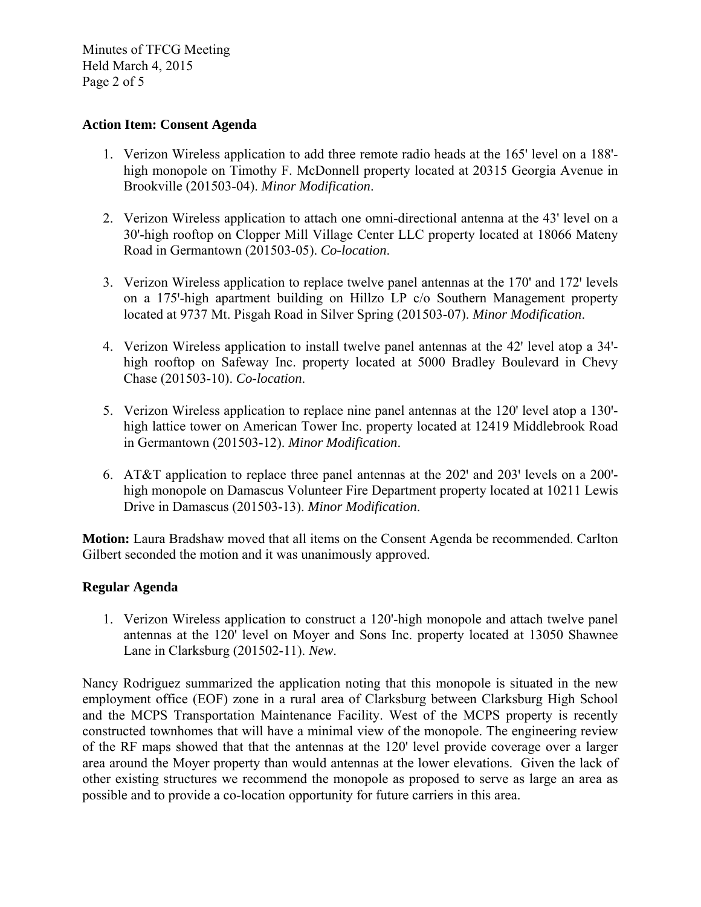Minutes of TFCG Meeting Held March 4, 2015 Page 2 of 5

# **Action Item: Consent Agenda**

- 1. Verizon Wireless application to add three remote radio heads at the 165' level on a 188' high monopole on Timothy F. McDonnell property located at 20315 Georgia Avenue in Brookville (201503-04). *Minor Modification*.
- 2. Verizon Wireless application to attach one omni-directional antenna at the 43' level on a 30'-high rooftop on Clopper Mill Village Center LLC property located at 18066 Mateny Road in Germantown (201503-05). *Co-location*.
- 3. Verizon Wireless application to replace twelve panel antennas at the 170' and 172' levels on a 175ꞌ-high apartment building on Hillzo LP c/o Southern Management property located at 9737 Mt. Pisgah Road in Silver Spring (201503-07). *Minor Modification*.
- 4. Verizon Wireless application to install twelve panel antennas at the 42' level atop a 34'high rooftop on Safeway Inc. property located at 5000 Bradley Boulevard in Chevy Chase (201503-10). *Co-location*.
- 5. Verizon Wireless application to replace nine panel antennas at the 120' level atop a 130'high lattice tower on American Tower Inc. property located at 12419 Middlebrook Road in Germantown (201503-12). *Minor Modification*.
- 6. AT&T application to replace three panel antennas at the 202' and 203' levels on a 200'high monopole on Damascus Volunteer Fire Department property located at 10211 Lewis Drive in Damascus (201503-13). *Minor Modification*.

**Motion:** Laura Bradshaw moved that all items on the Consent Agenda be recommended. Carlton Gilbert seconded the motion and it was unanimously approved.

### **Regular Agenda**

1. Verizon Wireless application to construct a 120'-high monopole and attach twelve panel antennas at the 120' level on Moyer and Sons Inc. property located at 13050 Shawnee Lane in Clarksburg (201502-11). *New*.

Nancy Rodriguez summarized the application noting that this monopole is situated in the new employment office (EOF) zone in a rural area of Clarksburg between Clarksburg High School and the MCPS Transportation Maintenance Facility. West of the MCPS property is recently constructed townhomes that will have a minimal view of the monopole. The engineering review of the RF maps showed that that the antennas at the 120' level provide coverage over a larger area around the Moyer property than would antennas at the lower elevations. Given the lack of other existing structures we recommend the monopole as proposed to serve as large an area as possible and to provide a co-location opportunity for future carriers in this area.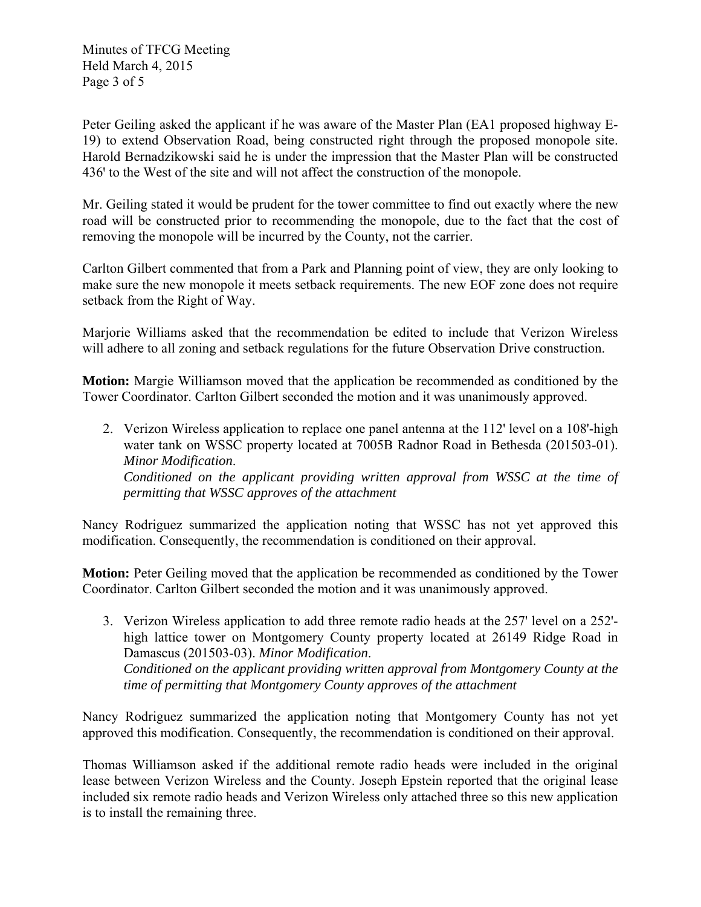Minutes of TFCG Meeting Held March 4, 2015 Page 3 of 5

Peter Geiling asked the applicant if he was aware of the Master Plan (EA1 proposed highway E-19) to extend Observation Road, being constructed right through the proposed monopole site. Harold Bernadzikowski said he is under the impression that the Master Plan will be constructed 436' to the West of the site and will not affect the construction of the monopole.

Mr. Geiling stated it would be prudent for the tower committee to find out exactly where the new road will be constructed prior to recommending the monopole, due to the fact that the cost of removing the monopole will be incurred by the County, not the carrier.

Carlton Gilbert commented that from a Park and Planning point of view, they are only looking to make sure the new monopole it meets setback requirements. The new EOF zone does not require setback from the Right of Way.

Marjorie Williams asked that the recommendation be edited to include that Verizon Wireless will adhere to all zoning and setback regulations for the future Observation Drive construction.

**Motion:** Margie Williamson moved that the application be recommended as conditioned by the Tower Coordinator. Carlton Gilbert seconded the motion and it was unanimously approved.

2. Verizon Wireless application to replace one panel antenna at the 112' level on a 108'-high water tank on WSSC property located at 7005B Radnor Road in Bethesda (201503-01). *Minor Modification*. *Conditioned on the applicant providing written approval from WSSC at the time of permitting that WSSC approves of the attachment*

Nancy Rodriguez summarized the application noting that WSSC has not yet approved this modification. Consequently, the recommendation is conditioned on their approval.

**Motion:** Peter Geiling moved that the application be recommended as conditioned by the Tower Coordinator. Carlton Gilbert seconded the motion and it was unanimously approved.

3. Verizon Wireless application to add three remote radio heads at the 257' level on a 252' high lattice tower on Montgomery County property located at 26149 Ridge Road in Damascus (201503-03). *Minor Modification*. *Conditioned on the applicant providing written approval from Montgomery County at the time of permitting that Montgomery County approves of the attachment* 

Nancy Rodriguez summarized the application noting that Montgomery County has not yet approved this modification. Consequently, the recommendation is conditioned on their approval.

Thomas Williamson asked if the additional remote radio heads were included in the original lease between Verizon Wireless and the County. Joseph Epstein reported that the original lease included six remote radio heads and Verizon Wireless only attached three so this new application is to install the remaining three.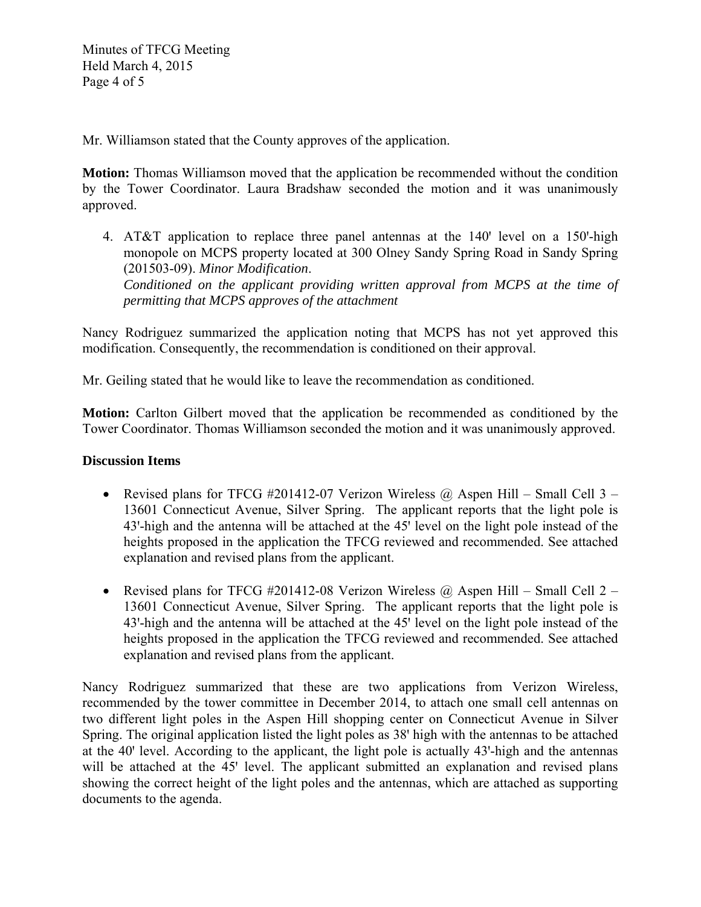Mr. Williamson stated that the County approves of the application.

**Motion:** Thomas Williamson moved that the application be recommended without the condition by the Tower Coordinator. Laura Bradshaw seconded the motion and it was unanimously approved.

4. AT&T application to replace three panel antennas at the  $140'$  level on a 150-high monopole on MCPS property located at 300 Olney Sandy Spring Road in Sandy Spring (201503-09). *Minor Modification*. *Conditioned on the applicant providing written approval from MCPS at the time of permitting that MCPS approves of the attachment*

Nancy Rodriguez summarized the application noting that MCPS has not yet approved this modification. Consequently, the recommendation is conditioned on their approval.

Mr. Geiling stated that he would like to leave the recommendation as conditioned.

**Motion:** Carlton Gilbert moved that the application be recommended as conditioned by the Tower Coordinator. Thomas Williamson seconded the motion and it was unanimously approved.

# **Discussion Items**

- Revised plans for TFCG #201412-07 Verizon Wireless  $\omega$ , Aspen Hill Small Cell 3 13601 Connecticut Avenue, Silver Spring. The applicant reports that the light pole is 43'-high and the antenna will be attached at the 45' level on the light pole instead of the heights proposed in the application the TFCG reviewed and recommended. See attached explanation and revised plans from the applicant.
- Revised plans for TFCG #201412-08 Verizon Wireless  $\omega$  Aspen Hill Small Cell 2 13601 Connecticut Avenue, Silver Spring. The applicant reports that the light pole is 43'-high and the antenna will be attached at the 45' level on the light pole instead of the heights proposed in the application the TFCG reviewed and recommended. See attached explanation and revised plans from the applicant.

Nancy Rodriguez summarized that these are two applications from Verizon Wireless, recommended by the tower committee in December 2014, to attach one small cell antennas on two different light poles in the Aspen Hill shopping center on Connecticut Avenue in Silver Spring. The original application listed the light poles as 38' high with the antennas to be attached at the 40' level. According to the applicant, the light pole is actually 43'-high and the antennas will be attached at the 45<sup>'</sup> level. The applicant submitted an explanation and revised plans showing the correct height of the light poles and the antennas, which are attached as supporting documents to the agenda.